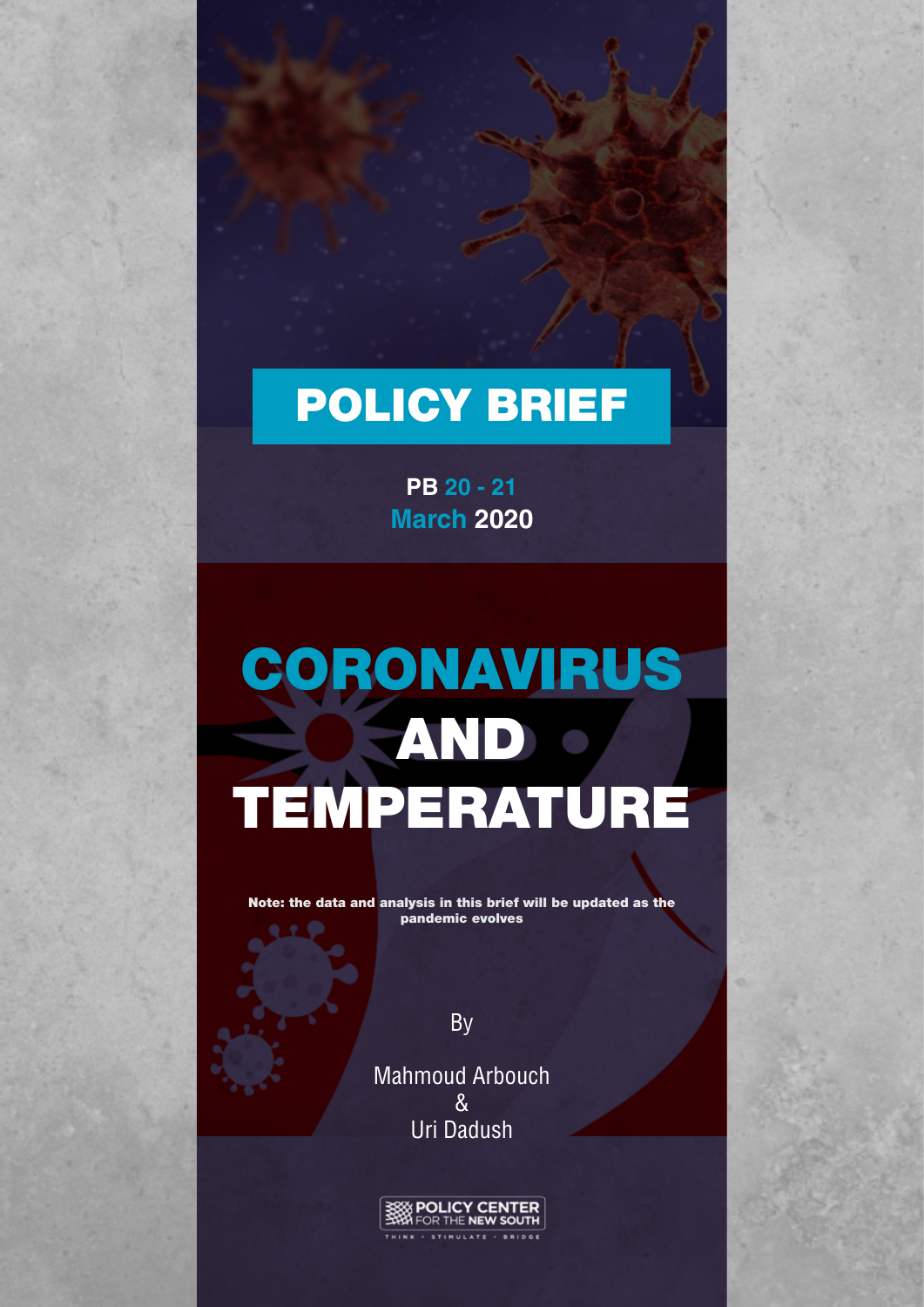## POLICY BRIEF

**March 2020 PB 20 - 21**

# CORONAVIRUS **EAND OF** TEMPERATURE

Note: the data and analysis in this brief will be updated as the pandemic evolves

By

Mahmoud Arbouch  $\mathcal{R}_{\mathbf{I}}$ Uri Dadush

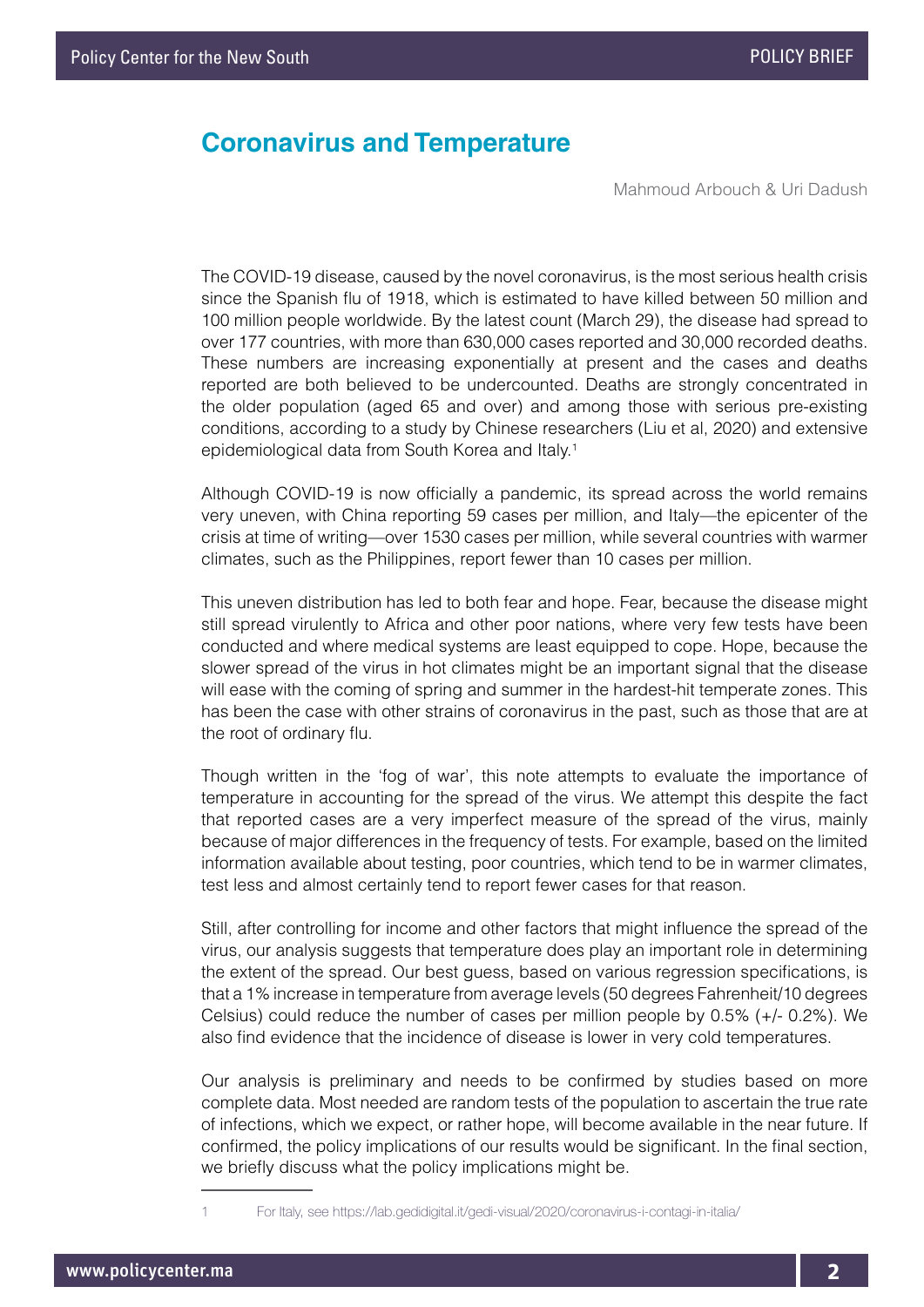## **Coronavirus and Temperature**

Mahmoud Arbouch & Uri Dadush

The COVID-19 disease, caused by the novel coronavirus, is the most serious health crisis since the Spanish flu of 1918, which is estimated to have killed between 50 million and 100 million people worldwide. By the latest count (March 29), the disease had spread to over 177 countries, with more than 630,000 cases reported and 30,000 recorded deaths. These numbers are increasing exponentially at present and the cases and deaths reported are both believed to be undercounted. Deaths are strongly concentrated in the older population (aged 65 and over) and among those with serious pre-existing conditions, according to a study by Chinese researchers (Liu et al, 2020) and extensive epidemiological data from South Korea and Italy.<sup>1</sup>

Although COVID-19 is now officially a pandemic, its spread across the world remains very uneven, with China reporting 59 cases per million, and Italy—the epicenter of the crisis at time of writing—over 1530 cases per million, while several countries with warmer climates, such as the Philippines, report fewer than 10 cases per million.

This uneven distribution has led to both fear and hope. Fear, because the disease might still spread virulently to Africa and other poor nations, where very few tests have been conducted and where medical systems are least equipped to cope. Hope, because the slower spread of the virus in hot climates might be an important signal that the disease will ease with the coming of spring and summer in the hardest-hit temperate zones. This has been the case with other strains of coronavirus in the past, such as those that are at the root of ordinary flu.

Though written in the 'fog of war', this note attempts to evaluate the importance of temperature in accounting for the spread of the virus. We attempt this despite the fact that reported cases are a very imperfect measure of the spread of the virus, mainly because of major differences in the frequency of tests. For example, based on the limited information available about testing, poor countries, which tend to be in warmer climates, test less and almost certainly tend to report fewer cases for that reason.

Still, after controlling for income and other factors that might influence the spread of the virus, our analysis suggests that temperature does play an important role in determining the extent of the spread. Our best guess, based on various regression specifications, is that a 1% increase in temperature from average levels (50 degrees Fahrenheit/10 degrees Celsius) could reduce the number of cases per million people by 0.5% (+/- 0.2%). We also find evidence that the incidence of disease is lower in very cold temperatures.

Our analysis is preliminary and needs to be confirmed by studies based on more complete data. Most needed are random tests of the population to ascertain the true rate of infections, which we expect, or rather hope, will become available in the near future. If confirmed, the policy implications of our results would be significant. In the final section, we briefly discuss what the policy implications might be.

<sup>1</sup> For Italy, see https://lab.gedidigital.it/gedi-visual/2020/coronavirus-i-contagi-in-italia/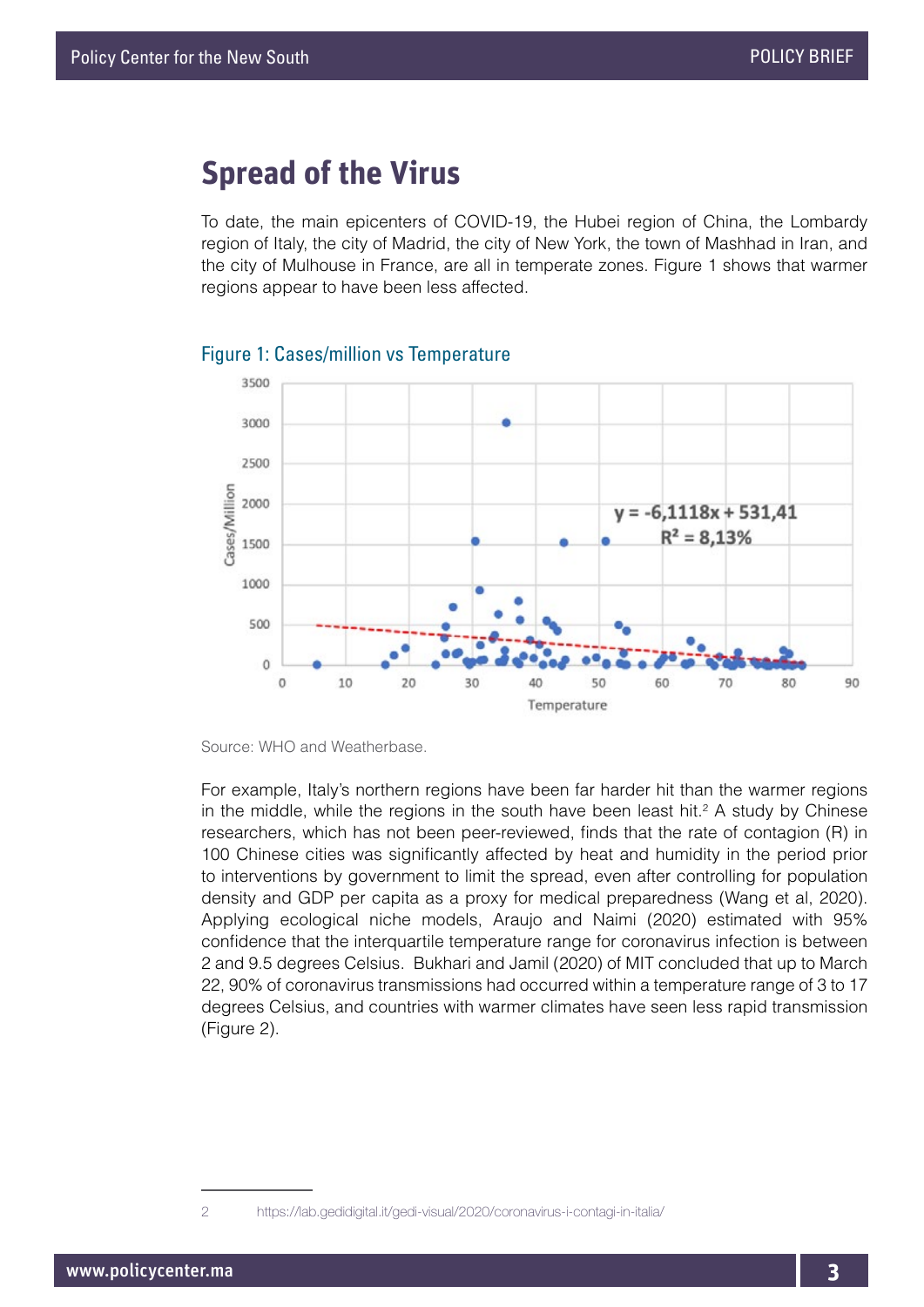## **Spread of the Virus**

To date, the main epicenters of COVID-19, the Hubei region of China, the Lombardy region of Italy, the city of Madrid, the city of New York, the town of Mashhad in Iran, and the city of Mulhouse in France, are all in temperate zones. Figure 1 shows that warmer regions appear to have been less affected.



#### Figure 1: Cases/million vs Temperature

Source: WHO and Weatherbase.

For example, Italy's northern regions have been far harder hit than the warmer regions in the middle, while the regions in the south have been least hit.<sup>2</sup> A study by Chinese researchers, which has not been peer-reviewed, finds that the rate of contagion (R) in 100 Chinese cities was significantly affected by heat and humidity in the period prior to interventions by government to limit the spread, even after controlling for population density and GDP per capita as a proxy for medical preparedness (Wang et al, 2020). Applying ecological niche models, Araujo and Naimi (2020) estimated with 95% confidence that the interquartile temperature range for coronavirus infection is between 2 and 9.5 degrees Celsius. Bukhari and Jamil (2020) of MIT concluded that up to March 22, 90% of coronavirus transmissions had occurred within a temperature range of 3 to 17 degrees Celsius, and countries with warmer climates have seen less rapid transmission (Figure 2).

<sup>2</sup> https://lab.gedidigital.it/gedi-visual/2020/coronavirus-i-contagi-in-italia/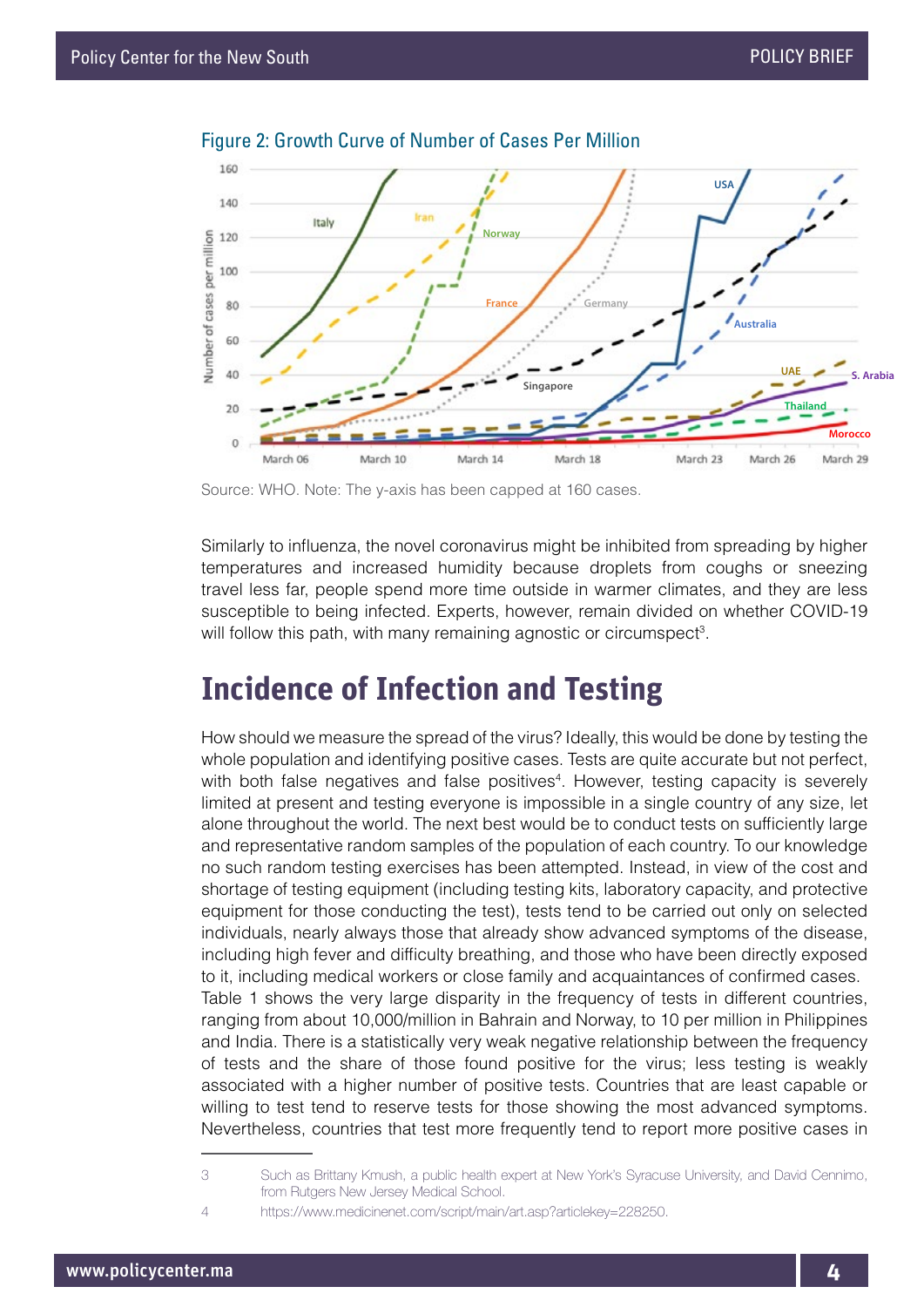

Figure 2: Growth Curve of Number of Cases Per Million

Source: WHO. Note: The y-axis has been capped at 160 cases.

Similarly to influenza, the novel coronavirus might be inhibited from spreading by higher temperatures and increased humidity because droplets from coughs or sneezing travel less far, people spend more time outside in warmer climates, and they are less susceptible to being infected. Experts, however, remain divided on whether COVID-19 will follow this path, with many remaining agnostic or circumspect<sup>3</sup>.

## **Incidence of Infection and Testing**

How should we measure the spread of the virus? Ideally, this would be done by testing the whole population and identifying positive cases. Tests are quite accurate but not perfect, with both false negatives and false positives<sup>4</sup>. However, testing capacity is severely limited at present and testing everyone is impossible in a single country of any size, let alone throughout the world. The next best would be to conduct tests on sufficiently large and representative random samples of the population of each country. To our knowledge no such random testing exercises has been attempted. Instead, in view of the cost and shortage of testing equipment (including testing kits, laboratory capacity, and protective equipment for those conducting the test), tests tend to be carried out only on selected individuals, nearly always those that already show advanced symptoms of the disease, including high fever and difficulty breathing, and those who have been directly exposed to it, including medical workers or close family and acquaintances of confirmed cases. Table 1 shows the very large disparity in the frequency of tests in different countries, ranging from about 10,000/million in Bahrain and Norway, to 10 per million in Philippines and India. There is a statistically very weak negative relationship between the frequency of tests and the share of those found positive for the virus; less testing is weakly associated with a higher number of positive tests. Countries that are least capable or willing to test tend to reserve tests for those showing the most advanced symptoms. Nevertheless, countries that test more frequently tend to report more positive cases in

<sup>3</sup> Such as Brittany Kmush, a public health expert at New York's Syracuse University, and David Cennimo, from Rutgers New Jersey Medical School.

<sup>4</sup> https://www.medicinenet.com/script/main/art.asp?articlekey=228250.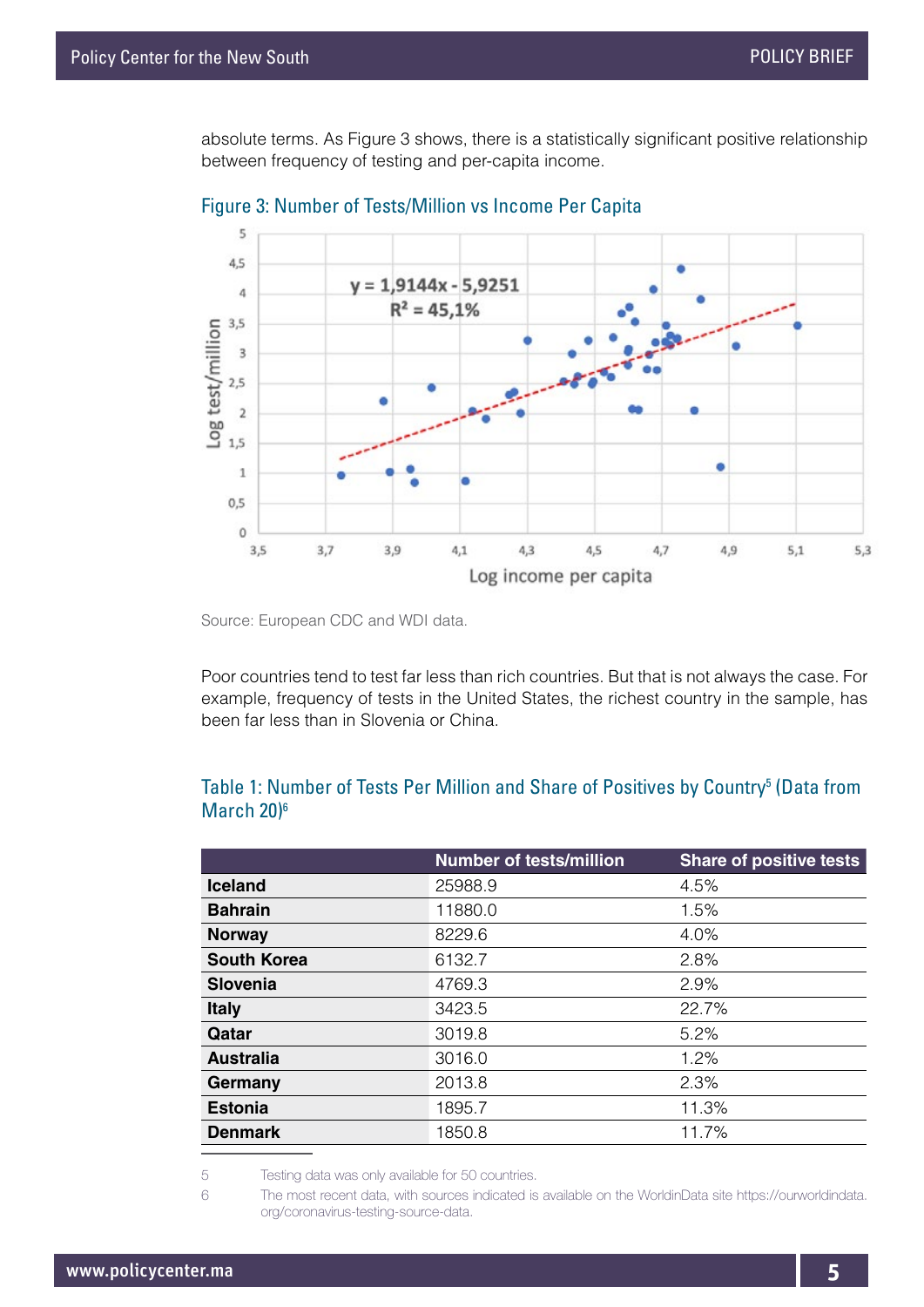absolute terms. As Figure 3 shows, there is a statistically significant positive relationship between frequency of testing and per-capita income.





Source: European CDC and WDI data.

Poor countries tend to test far less than rich countries. But that is not always the case. For example, frequency of tests in the United States, the richest country in the sample, has been far less than in Slovenia or China.

|                    | <b>Number of tests/million</b> | <b>Share of positive tests</b> |
|--------------------|--------------------------------|--------------------------------|
| <b>Iceland</b>     | 25988.9                        | 4.5%                           |
| <b>Bahrain</b>     | 11880.0                        | 1.5%                           |
| <b>Norway</b>      | 8229.6                         | 4.0%                           |
| <b>South Korea</b> | 6132.7                         | 2.8%                           |
| <b>Slovenia</b>    | 4769.3                         | 2.9%                           |
| <b>Italy</b>       | 3423.5                         | 22.7%                          |
| Qatar              | 3019.8                         | 5.2%                           |
| <b>Australia</b>   | 3016.0                         | 1.2%                           |
| Germany            | 2013.8                         | 2.3%                           |
| <b>Estonia</b>     | 1895.7                         | 11.3%                          |
| <b>Denmark</b>     | 1850.8                         | 11.7%                          |

#### Table 1: Number of Tests Per Million and Share of Positives by Country<sup>5</sup> (Data from March 20<sup>6</sup>

5 Testing data was only available for 50 countries.

6 The most recent data, with sources indicated is available on the WorldinData site https://ourworldindata. org/coronavirus-testing-source-data.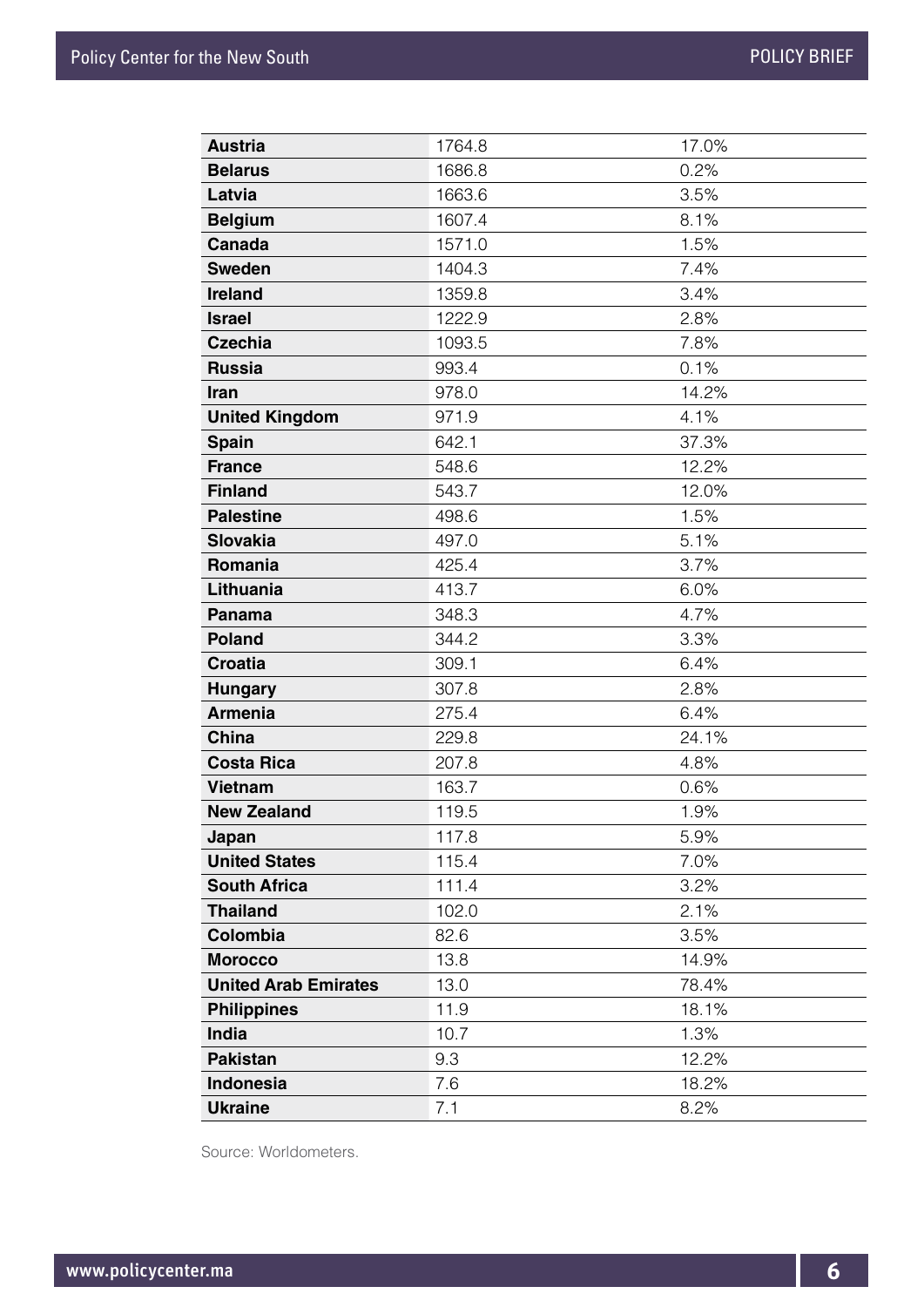| <b>Austria</b>              | 1764.8 | 17.0% |
|-----------------------------|--------|-------|
| <b>Belarus</b>              | 1686.8 | 0.2%  |
| Latvia                      | 1663.6 | 3.5%  |
| <b>Belgium</b>              | 1607.4 | 8.1%  |
| Canada                      | 1571.0 | 1.5%  |
| <b>Sweden</b>               | 1404.3 | 7.4%  |
| <b>Ireland</b>              | 1359.8 | 3.4%  |
| <b>Israel</b>               | 1222.9 | 2.8%  |
| <b>Czechia</b>              | 1093.5 | 7.8%  |
| <b>Russia</b>               | 993.4  | 0.1%  |
| Iran                        | 978.0  | 14.2% |
| <b>United Kingdom</b>       | 971.9  | 4.1%  |
| <b>Spain</b>                | 642.1  | 37.3% |
| <b>France</b>               | 548.6  | 12.2% |
| <b>Finland</b>              | 543.7  | 12.0% |
| <b>Palestine</b>            | 498.6  | 1.5%  |
| <b>Slovakia</b>             | 497.0  | 5.1%  |
| Romania                     | 425.4  | 3.7%  |
| Lithuania                   | 413.7  | 6.0%  |
| <b>Panama</b>               | 348.3  | 4.7%  |
| <b>Poland</b>               | 344.2  | 3.3%  |
| <b>Croatia</b>              | 309.1  | 6.4%  |
| <b>Hungary</b>              | 307.8  | 2.8%  |
| <b>Armenia</b>              | 275.4  | 6.4%  |
| China                       | 229.8  | 24.1% |
| <b>Costa Rica</b>           | 207.8  | 4.8%  |
| <b>Vietnam</b>              | 163.7  | 0.6%  |
| <b>New Zealand</b>          | 119.5  | 1.9%  |
| Japan                       | 117.8  | 5.9%  |
| <b>United States</b>        | 115.4  | 7.0%  |
| <b>South Africa</b>         | 111.4  | 3.2%  |
| <b>Thailand</b>             | 102.0  | 2.1%  |
| Colombia                    | 82.6   | 3.5%  |
| <b>Morocco</b>              | 13.8   | 14.9% |
| <b>United Arab Emirates</b> | 13.0   | 78.4% |
| <b>Philippines</b>          | 11.9   | 18.1% |
| India                       | 10.7   | 1.3%  |
| <b>Pakistan</b>             | 9.3    | 12.2% |
| Indonesia                   | 7.6    | 18.2% |
| <b>Ukraine</b>              | 7.1    | 8.2%  |

Source: Worldometers.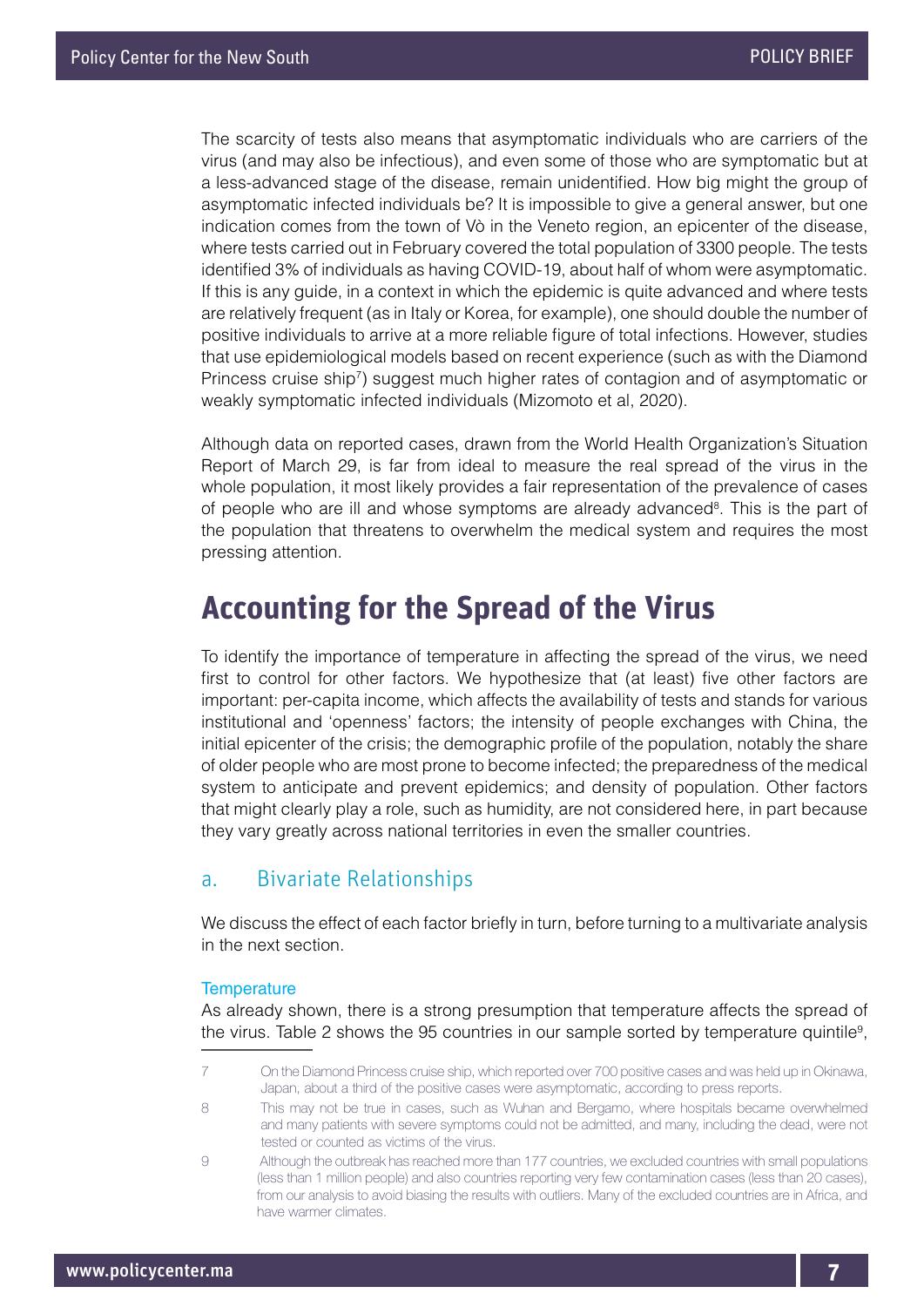The scarcity of tests also means that asymptomatic individuals who are carriers of the virus (and may also be infectious), and even some of those who are symptomatic but at a less-advanced stage of the disease, remain unidentified. How big might the group of asymptomatic infected individuals be? It is impossible to give a general answer, but one indication comes from the town of Vò in the Veneto region, an epicenter of the disease, where tests carried out in February covered the total population of 3300 people. The tests identified 3% of individuals as having COVID-19, about half of whom were asymptomatic. If this is any guide, in a context in which the epidemic is quite advanced and where tests are relatively frequent (as in Italy or Korea, for example), one should double the number of positive individuals to arrive at a more reliable figure of total infections. However, studies that use epidemiological models based on recent experience (such as with the Diamond Princess cruise ship<sup>7</sup>) suggest much higher rates of contagion and of asymptomatic or weakly symptomatic infected individuals (Mizomoto et al, 2020).

Although data on reported cases, drawn from the World Health Organization's Situation Report of March 29, is far from ideal to measure the real spread of the virus in the whole population, it most likely provides a fair representation of the prevalence of cases of people who are ill and whose symptoms are already advanced<sup>8</sup>. This is the part of the population that threatens to overwhelm the medical system and requires the most pressing attention.

## **Accounting for the Spread of the Virus**

To identify the importance of temperature in affecting the spread of the virus, we need first to control for other factors. We hypothesize that (at least) five other factors are important: per-capita income, which affects the availability of tests and stands for various institutional and 'openness' factors; the intensity of people exchanges with China, the initial epicenter of the crisis; the demographic profile of the population, notably the share of older people who are most prone to become infected; the preparedness of the medical system to anticipate and prevent epidemics; and density of population. Other factors that might clearly play a role, such as humidity, are not considered here, in part because they vary greatly across national territories in even the smaller countries.

#### a. Bivariate Relationships

We discuss the effect of each factor briefly in turn, before turning to a multivariate analysis in the next section.

#### **Temperature**

As already shown, there is a strong presumption that temperature affects the spread of the virus. Table 2 shows the 95 countries in our sample sorted by temperature quintile<sup>9</sup>,

<sup>7</sup> On the Diamond Princess cruise ship, which reported over 700 positive cases and was held up in Okinawa, Japan, about a third of the positive cases were asymptomatic, according to press reports.

<sup>8</sup> This may not be true in cases, such as Wuhan and Bergamo, where hospitals became overwhelmed and many patients with severe symptoms could not be admitted, and many, including the dead, were not tested or counted as victims of the virus.

<sup>9</sup> Although the outbreak has reached more than 177 countries, we excluded countries with small populations (less than 1 million people) and also countries reporting very few contamination cases (less than 20 cases), from our analysis to avoid biasing the results with outliers. Many of the excluded countries are in Africa, and have warmer climates.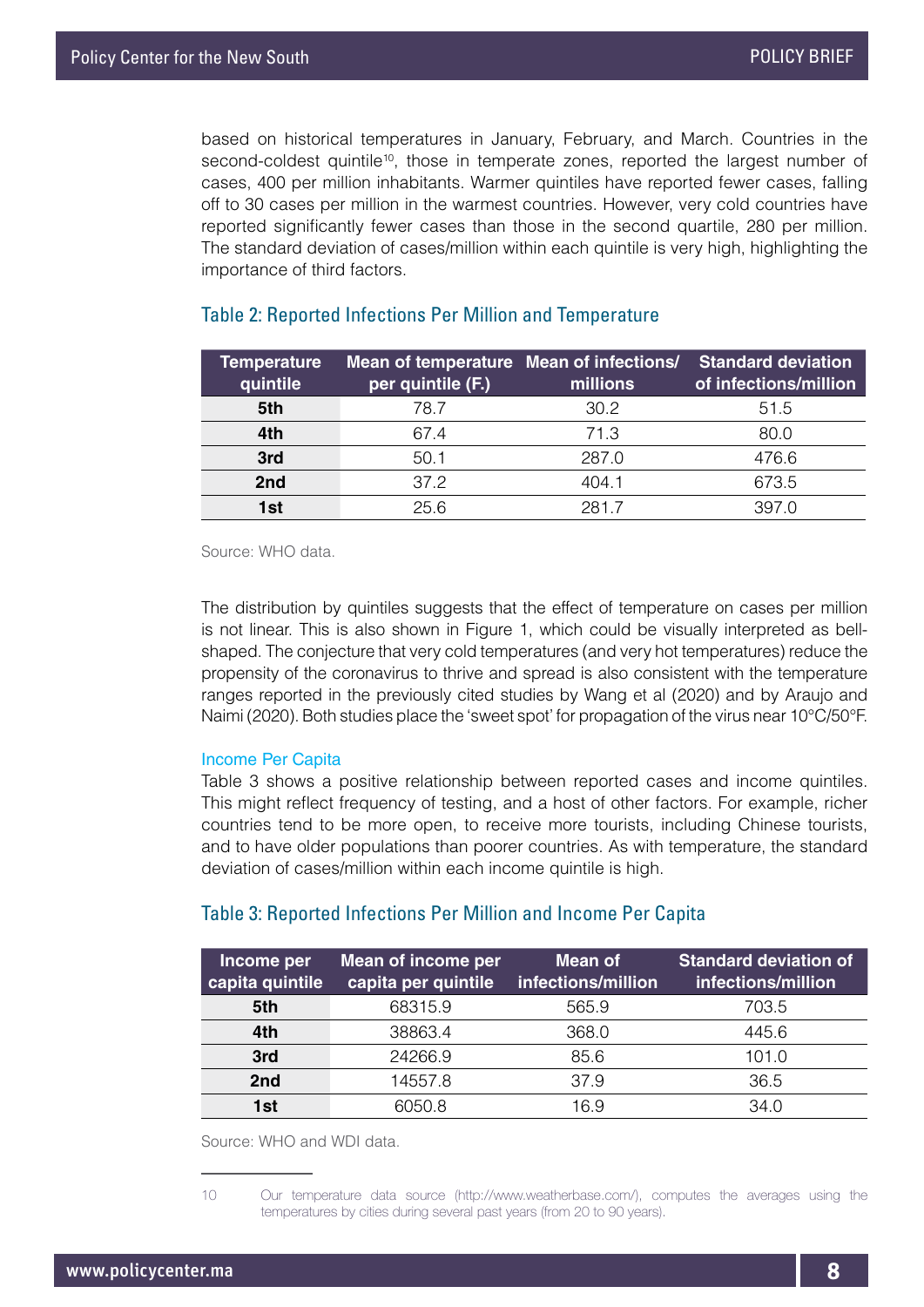based on historical temperatures in January, February, and March. Countries in the second-coldest quintile<sup>10</sup>, those in temperate zones, reported the largest number of cases, 400 per million inhabitants. Warmer quintiles have reported fewer cases, falling off to 30 cases per million in the warmest countries. However, very cold countries have reported significantly fewer cases than those in the second quartile, 280 per million. The standard deviation of cases/million within each quintile is very high, highlighting the importance of third factors.

| <b>Temperature</b><br>quintile | Mean of temperature Mean of infections/<br>per quintile (F.) | millions | <b>Standard deviation</b><br>of infections/million |
|--------------------------------|--------------------------------------------------------------|----------|----------------------------------------------------|
| 5th                            | 78.7                                                         | 30.2     | 51.5                                               |
| 4th                            | 67.4                                                         | 71.3     | 80.0                                               |
| 3rd                            | 50.1                                                         | 287.0    | 476.6                                              |
| 2nd                            | 37.2                                                         | 404.1    | 673.5                                              |
| 1st                            | 256                                                          | 2817     | 397 $O$                                            |

#### Table 2: Reported Infections Per Million and Temperature

Source: WHO data.

The distribution by quintiles suggests that the effect of temperature on cases per million is not linear. This is also shown in Figure 1, which could be visually interpreted as bellshaped. The conjecture that very cold temperatures (and very hot temperatures) reduce the propensity of the coronavirus to thrive and spread is also consistent with the temperature ranges reported in the previously cited studies by Wang et al (2020) and by Araujo and Naimi (2020). Both studies place the 'sweet spot' for propagation of the virus near 10°C/50°F.

#### Income Per Capita

Table 3 shows a positive relationship between reported cases and income quintiles. This might reflect frequency of testing, and a host of other factors. For example, richer countries tend to be more open, to receive more tourists, including Chinese tourists, and to have older populations than poorer countries. As with temperature, the standard deviation of cases/million within each income quintile is high.

#### Table 3: Reported Infections Per Million and Income Per Capita

| Income per<br>capita quintile | Mean of income per<br>capita per quintile | Mean of<br>infections/million | <b>Standard deviation of</b><br>infections/million |
|-------------------------------|-------------------------------------------|-------------------------------|----------------------------------------------------|
| 5th                           | 68315.9                                   | 565.9                         | 703.5                                              |
| 4th                           | 38863.4                                   | 368.0                         | 445.6                                              |
| 3rd                           | 24266.9                                   | 85.6                          | 101.0                                              |
| 2nd                           | 14557.8                                   | 37.9                          | 36.5                                               |
| 1st                           | 6050 8                                    | 16 9                          | 34 O                                               |

Source: WHO and WDI data.

<sup>10</sup> Our temperature data source (http://www.weatherbase.com/), computes the averages using the temperatures by cities during several past years (from 20 to 90 years).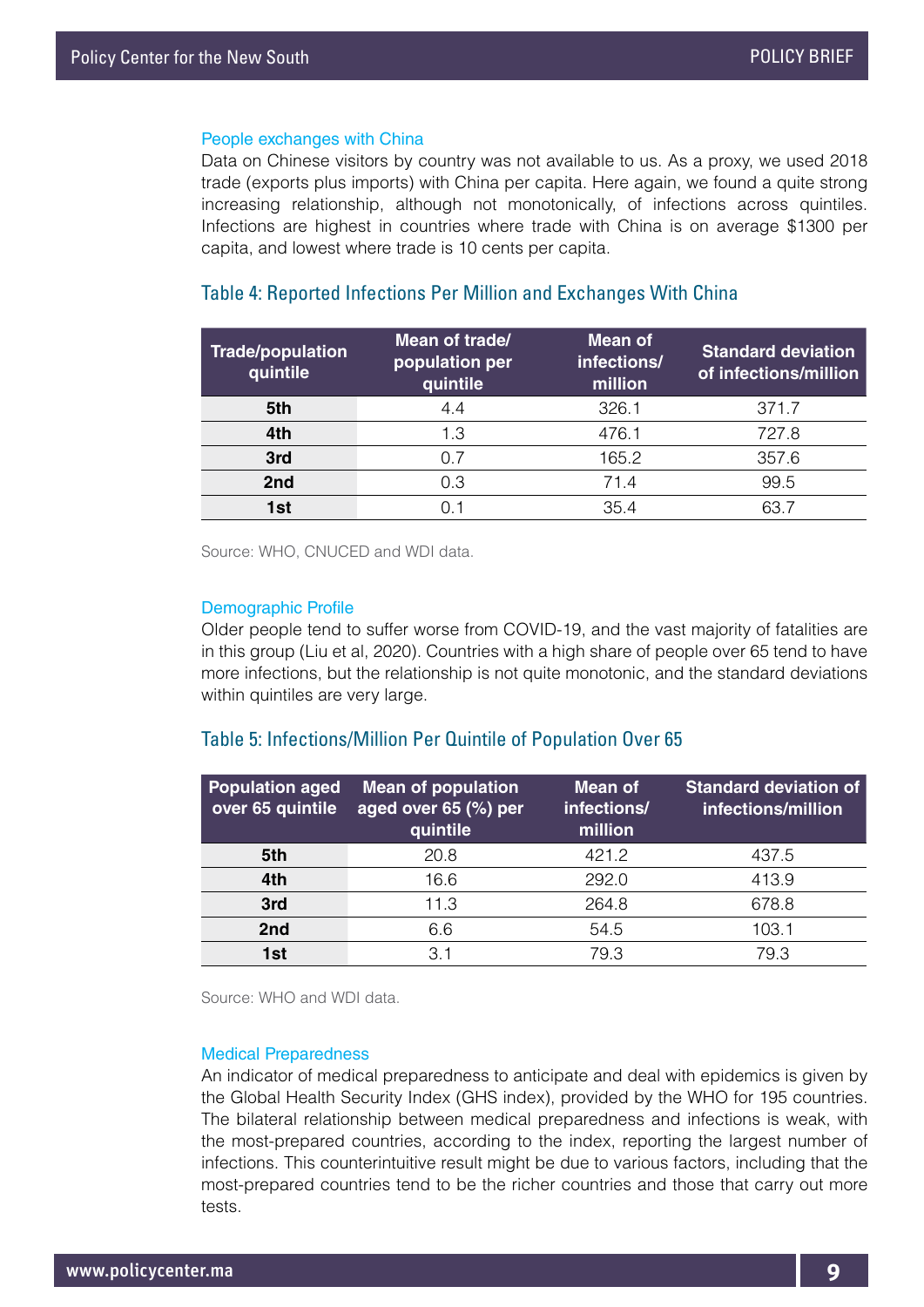#### People exchanges with China

Data on Chinese visitors by country was not available to us. As a proxy, we used 2018 trade (exports plus imports) with China per capita. Here again, we found a quite strong increasing relationship, although not monotonically, of infections across quintiles. Infections are highest in countries where trade with China is on average \$1300 per capita, and lowest where trade is 10 cents per capita.

#### Table 4: Reported Infections Per Million and Exchanges With China

| <b>Trade/population</b><br>quintile | Mean of trade/<br>population per<br>quintile | <b>Mean of</b><br>infections/<br>million | <b>Standard deviation</b><br>of infections/million |
|-------------------------------------|----------------------------------------------|------------------------------------------|----------------------------------------------------|
| 5th                                 | 4.4                                          | 326.1                                    | 371.7                                              |
| 4th                                 | 1.3                                          | 476.1                                    | 727.8                                              |
| 3rd                                 | 0.7                                          | 165.2                                    | 357.6                                              |
| 2nd                                 | 0.3                                          | 71.4                                     | 99.5                                               |
| 1st                                 |                                              | 354                                      | 63.7                                               |

Source: WHO, CNUCED and WDI data.

#### Demographic Profile

Older people tend to suffer worse from COVID-19, and the vast majority of fatalities are in this group (Liu et al, 2020). Countries with a high share of people over 65 tend to have more infections, but the relationship is not quite monotonic, and the standard deviations within quintiles are very large.

#### Table 5: Infections/Million Per Quintile of Population Over 65

| <b>Population aged</b><br>over 65 quintile | <b>Mean of population</b><br>aged over 65 (%) per<br>quintile | Mean of<br>infections/<br>million | <b>Standard deviation of</b><br>infections/million |
|--------------------------------------------|---------------------------------------------------------------|-----------------------------------|----------------------------------------------------|
| 5th                                        | 20.8                                                          | 421.2                             | 437.5                                              |
| 4th                                        | 16.6                                                          | 292.0                             | 413.9                                              |
| 3rd                                        | 11.3                                                          | 264.8                             | 678.8                                              |
| 2nd                                        | 6.6                                                           | 54.5                              | 103.1                                              |
| 1st                                        | 3.1                                                           | 79.3                              | 79.3                                               |

Source: WHO and WDI data.

#### Medical Preparedness

An indicator of medical preparedness to anticipate and deal with epidemics is given by the Global Health Security Index (GHS index), provided by the WHO for 195 countries. The bilateral relationship between medical preparedness and infections is weak, with the most-prepared countries, according to the index, reporting the largest number of infections. This counterintuitive result might be due to various factors, including that the most-prepared countries tend to be the richer countries and those that carry out more tests.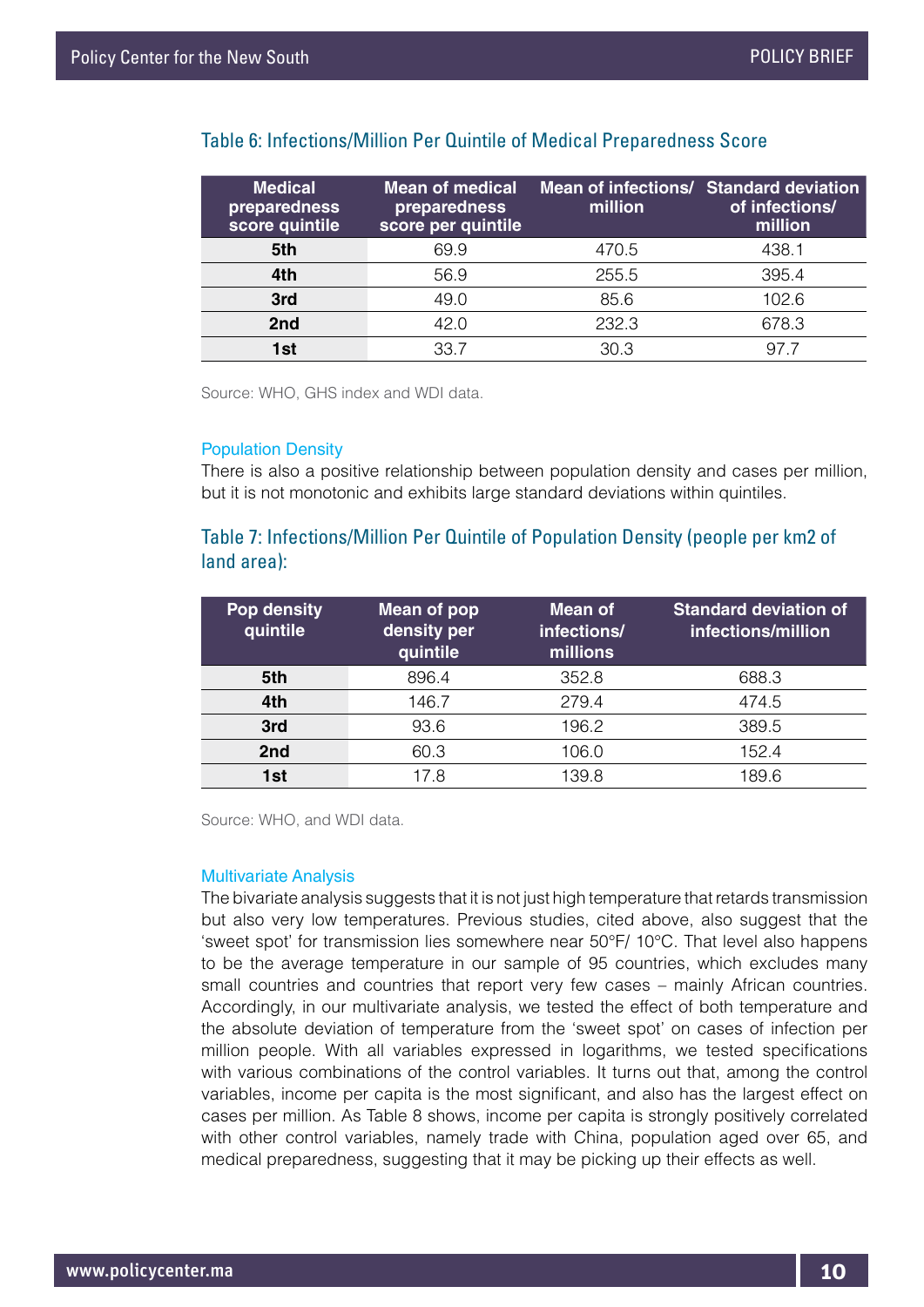| <b>Medical</b><br>preparedness<br>score quintile | <b>Mean of medical</b><br>preparedness<br>score per quintile | Mean of infections/ Standard deviation<br>million | of infections/<br>million |
|--------------------------------------------------|--------------------------------------------------------------|---------------------------------------------------|---------------------------|
| 5th                                              | 69.9                                                         | 470.5                                             | 438.1                     |
| 4th                                              | 56.9                                                         | 255.5                                             | 395.4                     |
| 3rd                                              | 49.0                                                         | 85.6                                              | 102.6                     |
| 2nd                                              | 42.0                                                         | 232.3                                             | 678.3                     |
| 1st                                              | 33.7                                                         | 30.3                                              | 97.7                      |

#### Table 6: Infections/Million Per Quintile of Medical Preparedness Score

Source: WHO, GHS index and WDI data.

#### Population Density

There is also a positive relationship between population density and cases per million, but it is not monotonic and exhibits large standard deviations within quintiles.

#### Table 7: Infections/Million Per Quintile of Population Density (people per km2 of land area):

| Pop density<br>quintile | Mean of pop<br>density per<br>quintile | Mean of<br>infections/<br>millions | <b>Standard deviation of</b><br>infections/million |
|-------------------------|----------------------------------------|------------------------------------|----------------------------------------------------|
| 5th                     | 896.4                                  | 352.8                              | 688.3                                              |
| 4th                     | 146.7                                  | 279.4                              | 474.5                                              |
| 3rd                     | 93.6                                   | 196.2                              | 389.5                                              |
| 2nd                     | 60.3                                   | 106.0                              | 152.4                                              |
| 1st                     | 17.8                                   | 139.8                              | 189.6                                              |

Source: WHO, and WDI data.

#### Multivariate Analysis

The bivariate analysis suggests that it is not just high temperature that retards transmission but also very low temperatures. Previous studies, cited above, also suggest that the 'sweet spot' for transmission lies somewhere near 50°F/ 10°C. That level also happens to be the average temperature in our sample of 95 countries, which excludes many small countries and countries that report very few cases – mainly African countries. Accordingly, in our multivariate analysis, we tested the effect of both temperature and the absolute deviation of temperature from the 'sweet spot' on cases of infection per million people. With all variables expressed in logarithms, we tested specifications with various combinations of the control variables. It turns out that, among the control variables, income per capita is the most significant, and also has the largest effect on cases per million. As Table 8 shows, income per capita is strongly positively correlated with other control variables, namely trade with China, population aged over 65, and medical preparedness, suggesting that it may be picking up their effects as well.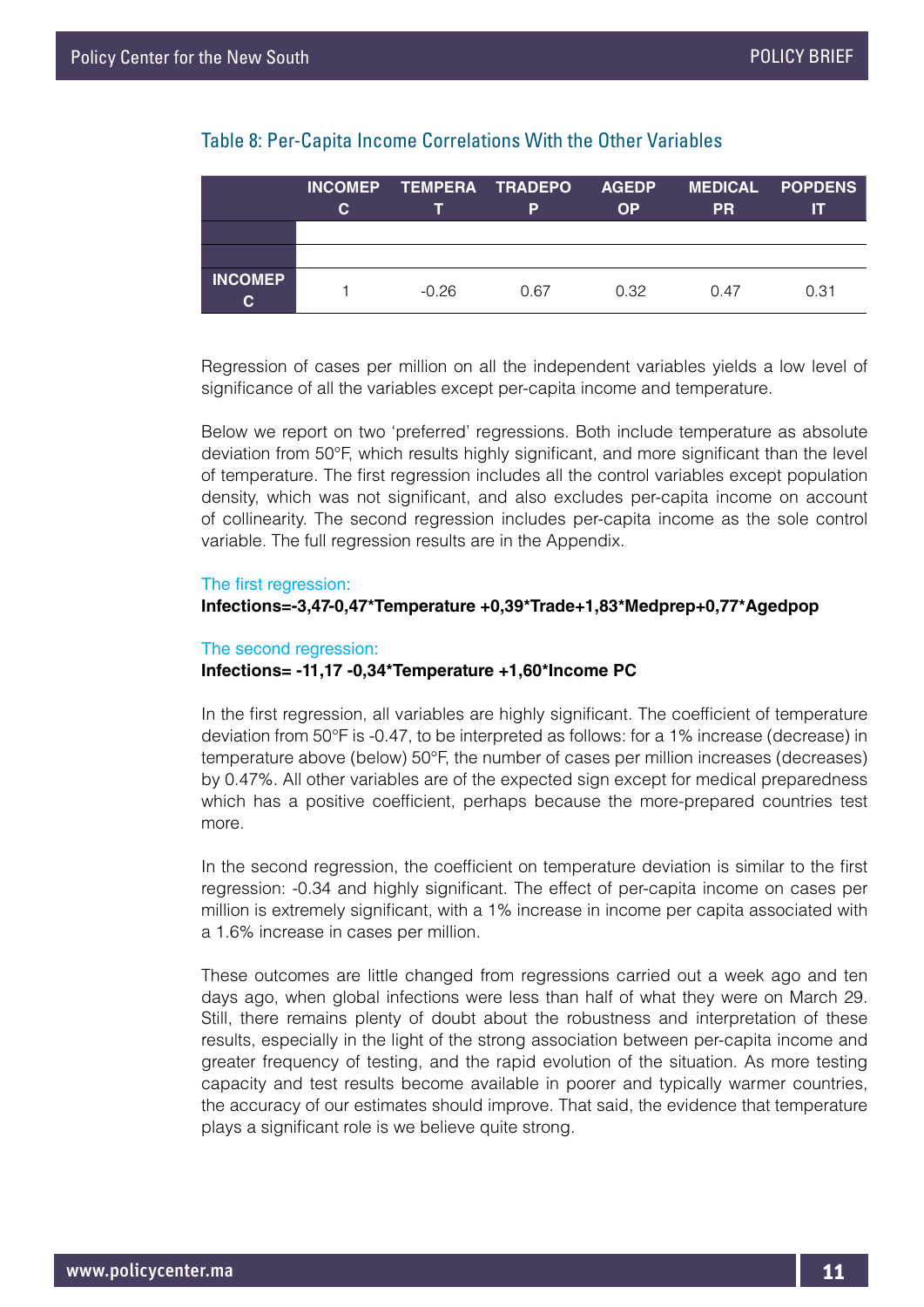#### Table 8: Per-Capita Income Correlations With the Other Variables

|                      | C. |         | INCOMEP TEMPERA TRADEPO AGEDP<br>P | <b>OP</b> | <b>PR</b> | <b>MEDICAL POPDENS</b><br>Ш |
|----------------------|----|---------|------------------------------------|-----------|-----------|-----------------------------|
|                      |    |         |                                    |           |           |                             |
|                      |    |         |                                    |           |           |                             |
| <b>INCOMEP</b><br>C. |    | $-0.26$ | 0.67                               | 0.32      | 0.47      | 0.31                        |

Regression of cases per million on all the independent variables yields a low level of significance of all the variables except per-capita income and temperature.

Below we report on two 'preferred' regressions. Both include temperature as absolute deviation from 50°F, which results highly significant, and more significant than the level of temperature. The first regression includes all the control variables except population density, which was not significant, and also excludes per-capita income on account of collinearity. The second regression includes per-capita income as the sole control variable. The full regression results are in the Appendix.

#### The first regression:

#### **Infections=-3,47-0,47\*Temperature +0,39\*Trade+1,83\*Medprep+0,77\*Agedpop**

#### The second regression: **Infections= -11,17 -0,34\*Temperature +1,60\*Income PC**

In the first regression, all variables are highly significant. The coefficient of temperature deviation from 50°F is -0.47, to be interpreted as follows: for a 1% increase (decrease) in temperature above (below) 50°F, the number of cases per million increases (decreases) by 0.47%. All other variables are of the expected sign except for medical preparedness which has a positive coefficient, perhaps because the more-prepared countries test more.

In the second regression, the coefficient on temperature deviation is similar to the first regression: -0.34 and highly significant. The effect of per-capita income on cases per million is extremely significant, with a 1% increase in income per capita associated with a 1.6% increase in cases per million.

These outcomes are little changed from regressions carried out a week ago and ten days ago, when global infections were less than half of what they were on March 29. Still, there remains plenty of doubt about the robustness and interpretation of these results, especially in the light of the strong association between per-capita income and greater frequency of testing, and the rapid evolution of the situation. As more testing capacity and test results become available in poorer and typically warmer countries, the accuracy of our estimates should improve. That said, the evidence that temperature plays a significant role is we believe quite strong.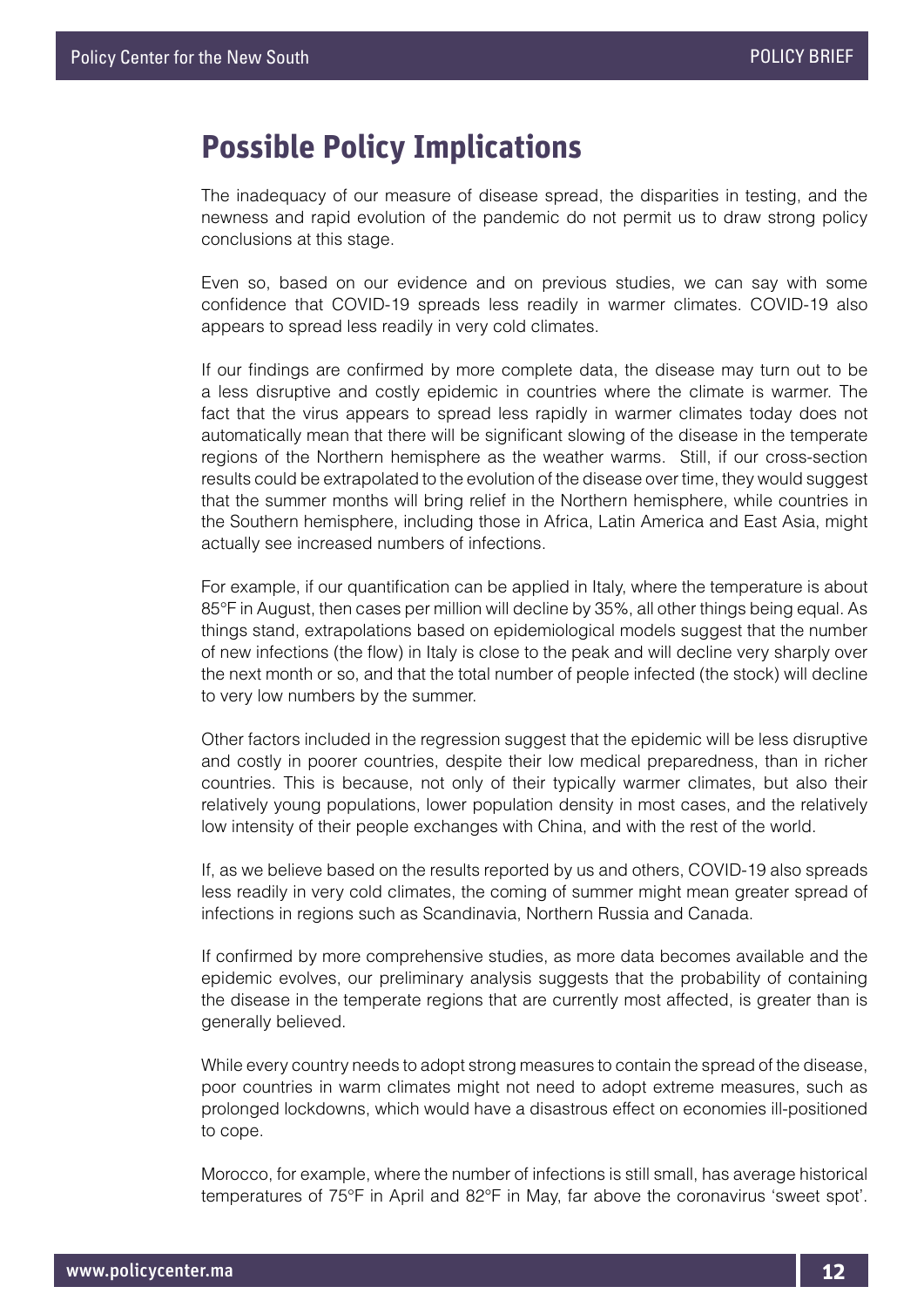## **Possible Policy Implications**

The inadequacy of our measure of disease spread, the disparities in testing, and the newness and rapid evolution of the pandemic do not permit us to draw strong policy conclusions at this stage.

Even so, based on our evidence and on previous studies, we can say with some confidence that COVID-19 spreads less readily in warmer climates. COVID-19 also appears to spread less readily in very cold climates.

If our findings are confirmed by more complete data, the disease may turn out to be a less disruptive and costly epidemic in countries where the climate is warmer. The fact that the virus appears to spread less rapidly in warmer climates today does not automatically mean that there will be significant slowing of the disease in the temperate regions of the Northern hemisphere as the weather warms. Still, if our cross-section results could be extrapolated to the evolution of the disease over time, they would suggest that the summer months will bring relief in the Northern hemisphere, while countries in the Southern hemisphere, including those in Africa, Latin America and East Asia, might actually see increased numbers of infections.

For example, if our quantification can be applied in Italy, where the temperature is about 85°F in August, then cases per million will decline by 35%, all other things being equal. As things stand, extrapolations based on epidemiological models suggest that the number of new infections (the flow) in Italy is close to the peak and will decline very sharply over the next month or so, and that the total number of people infected (the stock) will decline to very low numbers by the summer.

Other factors included in the regression suggest that the epidemic will be less disruptive and costly in poorer countries, despite their low medical preparedness, than in richer countries. This is because, not only of their typically warmer climates, but also their relatively young populations, lower population density in most cases, and the relatively low intensity of their people exchanges with China, and with the rest of the world.

If, as we believe based on the results reported by us and others, COVID-19 also spreads less readily in very cold climates, the coming of summer might mean greater spread of infections in regions such as Scandinavia, Northern Russia and Canada.

If confirmed by more comprehensive studies, as more data becomes available and the epidemic evolves, our preliminary analysis suggests that the probability of containing the disease in the temperate regions that are currently most affected, is greater than is generally believed.

While every country needs to adopt strong measures to contain the spread of the disease, poor countries in warm climates might not need to adopt extreme measures, such as prolonged lockdowns, which would have a disastrous effect on economies ill-positioned to cope.

Morocco, for example, where the number of infections is still small, has average historical temperatures of 75°F in April and 82°F in May, far above the coronavirus 'sweet spot'.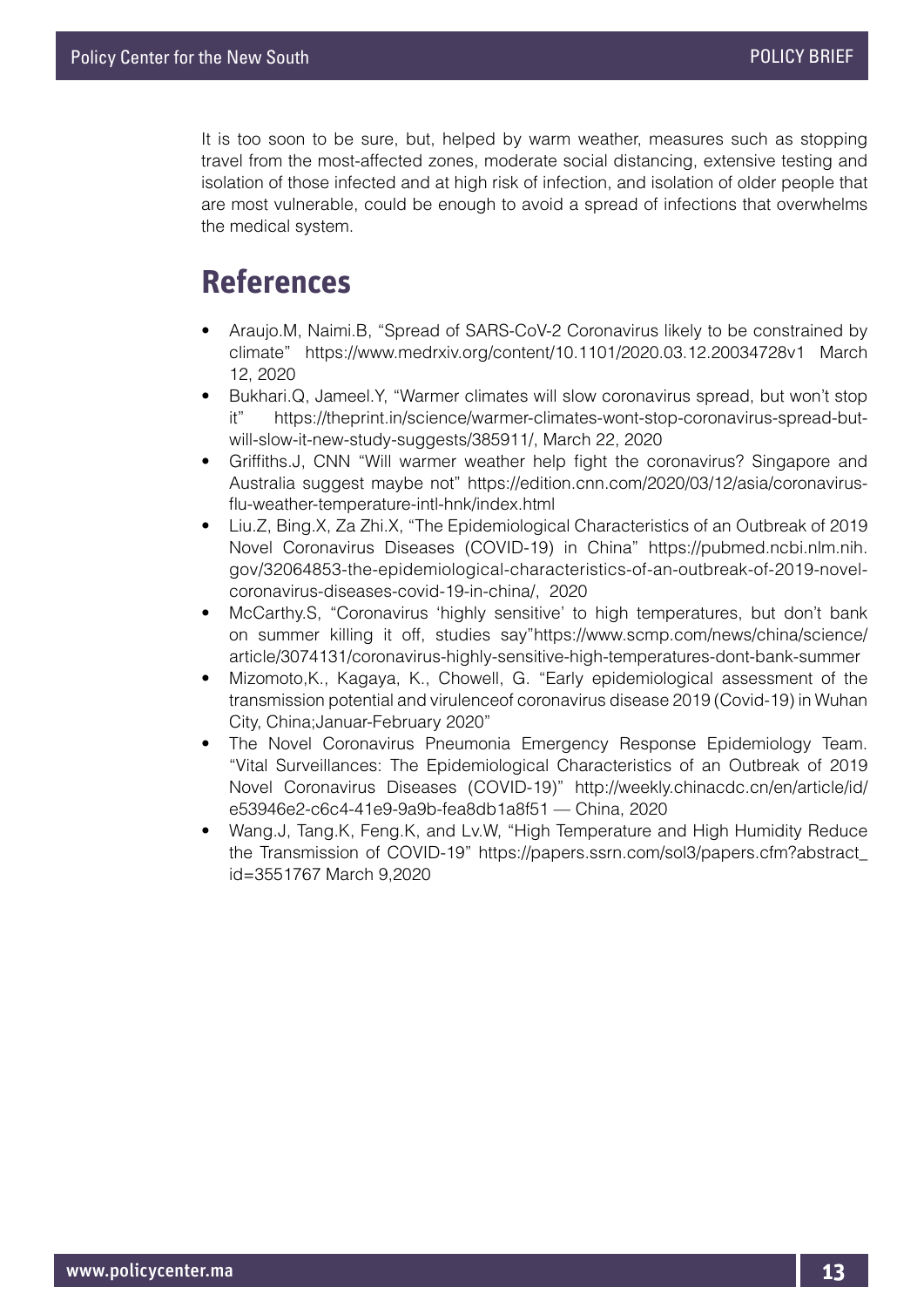It is too soon to be sure, but, helped by warm weather, measures such as stopping travel from the most-affected zones, moderate social distancing, extensive testing and isolation of those infected and at high risk of infection, and isolation of older people that are most vulnerable, could be enough to avoid a spread of infections that overwhelms the medical system.

## **References**

- Araujo.M, Naimi.B, "Spread of SARS-CoV-2 Coronavirus likely to be constrained by climate" https://www.medrxiv.org/content/10.1101/2020.03.12.20034728v1 March 12, 2020
- Bukhari.Q, Jameel.Y, "Warmer climates will slow coronavirus spread, but won't stop it" https://theprint.in/science/warmer-climates-wont-stop-coronavirus-spread-butwill-slow-it-new-study-suggests/385911/, March 22, 2020
- Griffiths.J, CNN "Will warmer weather help fight the coronavirus? Singapore and Australia suggest maybe not" https://edition.cnn.com/2020/03/12/asia/coronavirusflu-weather-temperature-intl-hnk/index.html
- Liu.Z, Bing.X, Za Zhi.X, "The Epidemiological Characteristics of an Outbreak of 2019 Novel Coronavirus Diseases (COVID-19) in China" https://pubmed.ncbi.nlm.nih. gov/32064853-the-epidemiological-characteristics-of-an-outbreak-of-2019-novelcoronavirus-diseases-covid-19-in-china/, 2020
- McCarthy.S, "Coronavirus 'highly sensitive' to high temperatures, but don't bank on summer killing it off, studies say"https://www.scmp.com/news/china/science/ article/3074131/coronavirus-highly-sensitive-high-temperatures-dont-bank-summer
- Mizomoto,K., Kagaya, K., Chowell, G. "Early epidemiological assessment of the transmission potential and virulenceof coronavirus disease 2019 (Covid-19) in Wuhan City, China;Januar-February 2020"
- The Novel Coronavirus Pneumonia Emergency Response Epidemiology Team. "Vital Surveillances: The Epidemiological Characteristics of an Outbreak of 2019 Novel Coronavirus Diseases (COVID-19)" http://weekly.chinacdc.cn/en/article/id/ e53946e2-c6c4-41e9-9a9b-fea8db1a8f51 — China, 2020
- Wang.J, Tang.K, Feng.K, and Lv.W, "High Temperature and High Humidity Reduce the Transmission of COVID-19" https://papers.ssrn.com/sol3/papers.cfm?abstract\_ id=3551767 March 9,2020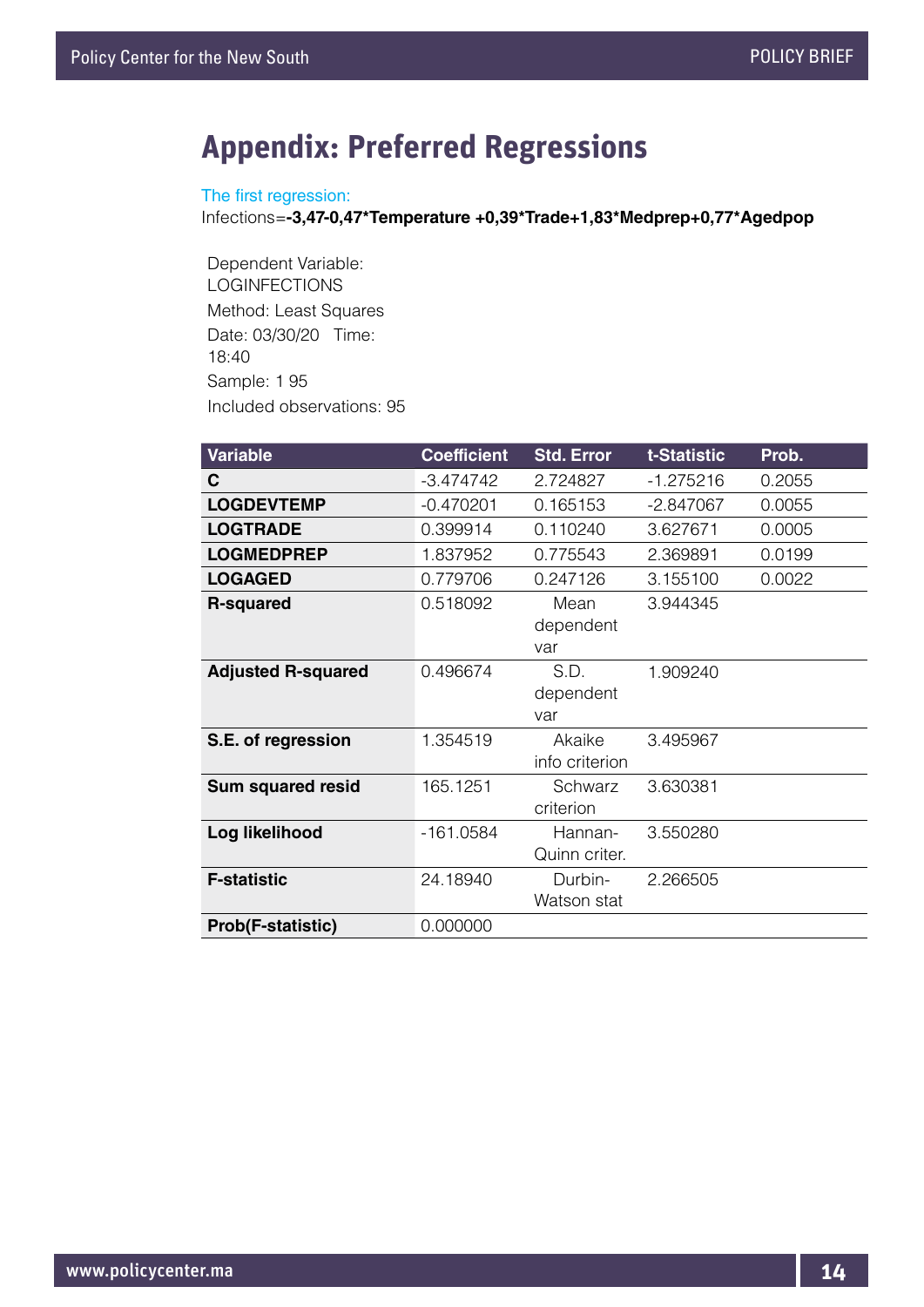## **Appendix: Preferred Regressions**

#### The first regression:

Infections=**-3,47-0,47\*Temperature +0,39\*Trade+1,83\*Medprep+0,77\*Agedpop**

Dependent Variable: LOGINFECTIONS Method: Least Squares Date: 03/30/20 Time: 18:40 Sample: 1 95 Included observations: 95

| <b>Variable</b>           | <b>Coefficient</b> | <b>Std. Error</b>        | t-Statistic | Prob.  |
|---------------------------|--------------------|--------------------------|-------------|--------|
| С                         | $-3.474742$        | 2.724827                 | $-1.275216$ | 0.2055 |
| <b>LOGDEVTEMP</b>         | $-0.470201$        | 0.165153                 | $-2.847067$ | 0.0055 |
| <b>LOGTRADE</b>           | 0.399914           | 0.110240                 | 3.627671    | 0.0005 |
| <b>LOGMEDPREP</b>         | 1.837952           | 0.775543                 | 2.369891    | 0.0199 |
| <b>LOGAGED</b>            | 0.779706           | 0.247126                 | 3.155100    | 0.0022 |
| <b>R-squared</b>          | 0.518092           | Mean<br>dependent<br>var | 3.944345    |        |
| <b>Adjusted R-squared</b> | 0.496674           | S.D.<br>dependent<br>var | 1.909240    |        |
| S.E. of regression        | 1.354519           | Akaike<br>info criterion | 3.495967    |        |
| Sum squared resid         | 165.1251           | Schwarz<br>criterion     | 3.630381    |        |
| Log likelihood            | $-161.0584$        | Hannan-<br>Quinn criter. | 3.550280    |        |
| <b>F-statistic</b>        | 24.18940           | Durbin-<br>Watson stat   | 2.266505    |        |
| <b>Prob(F-statistic)</b>  | 0.000000           |                          |             |        |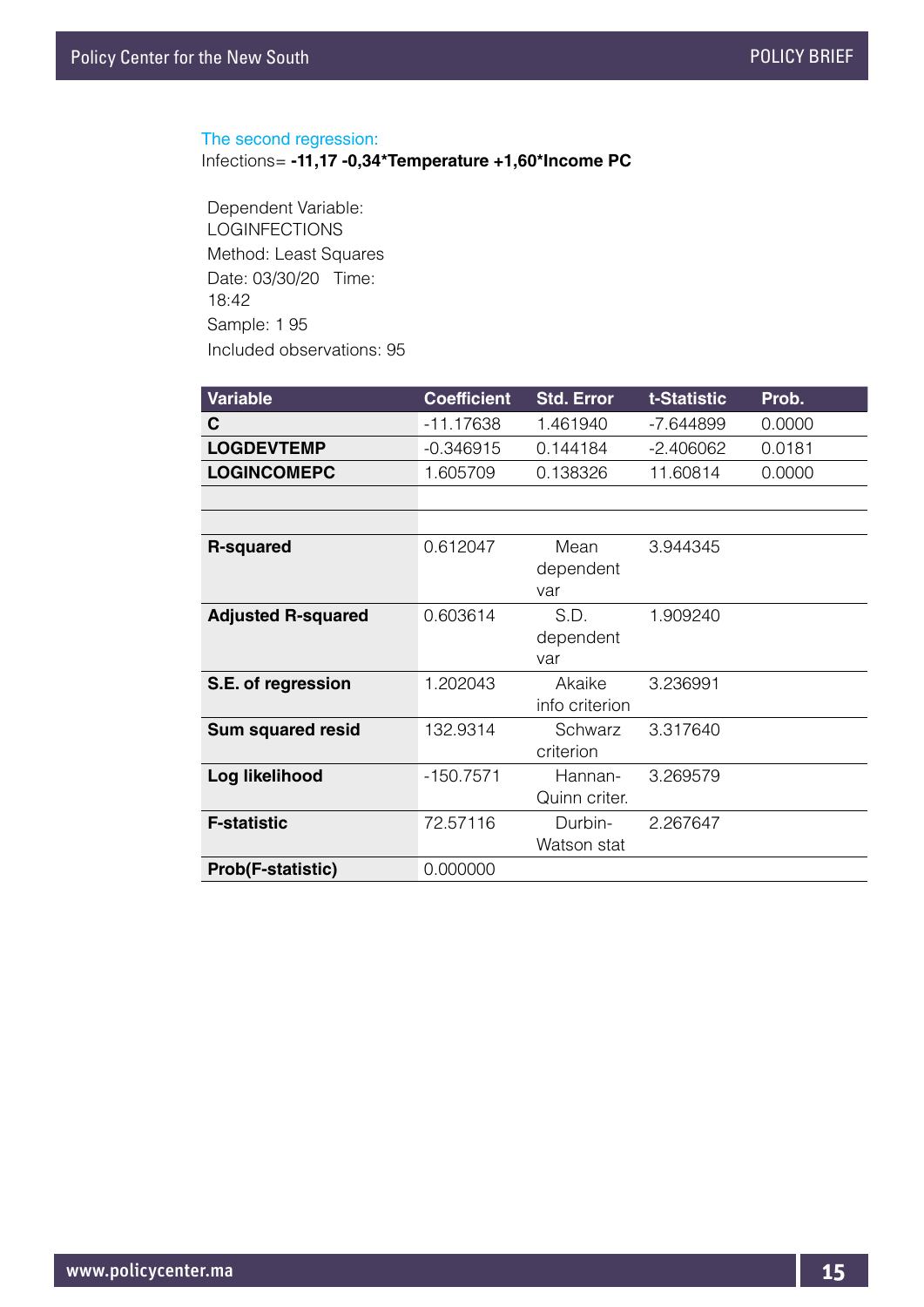#### The second regression:

Infections= **-11,17 -0,34\*Temperature +1,60\*Income PC**

Dependent Variable: LOGINFECTIONS Method: Least Squares Date: 03/30/20 Time: 18:42 Sample: 1 95 Included observations: 95

| <b>Variable</b>    | <b>Coefficient</b> | <b>Std. Error</b> | t-Statistic | Prob.  |
|--------------------|--------------------|-------------------|-------------|--------|
| <b>C</b>           | -11.17638          | 1 461940          | -7.644899   | 0.0000 |
| <b>LOGDEVTEMP</b>  | $-0.346915$        | 0.144184          | -2.406062   | 0.0181 |
| <b>LOGINCOMEPC</b> | 1.605709           | 0 138326          | 11 60814    | 0.0000 |
|                    |                    |                   |             |        |

| <b>R-squared</b>          | 0.612047    | Mean<br>dependent<br>var | 3.944345 |
|---------------------------|-------------|--------------------------|----------|
| <b>Adjusted R-squared</b> | 0.603614    | S.D.<br>dependent<br>var | 1.909240 |
| S.E. of regression        | 1.202043    | Akaike<br>info criterion | 3.236991 |
| <b>Sum squared resid</b>  | 132.9314    | Schwarz<br>criterion     | 3.317640 |
| Log likelihood            | $-150.7571$ | Hannan-<br>Quinn criter. | 3.269579 |
| <b>F-statistic</b>        | 72.57116    | Durbin-<br>Watson stat   | 2.267647 |
| <b>Prob(F-statistic)</b>  | 0.000000    |                          |          |